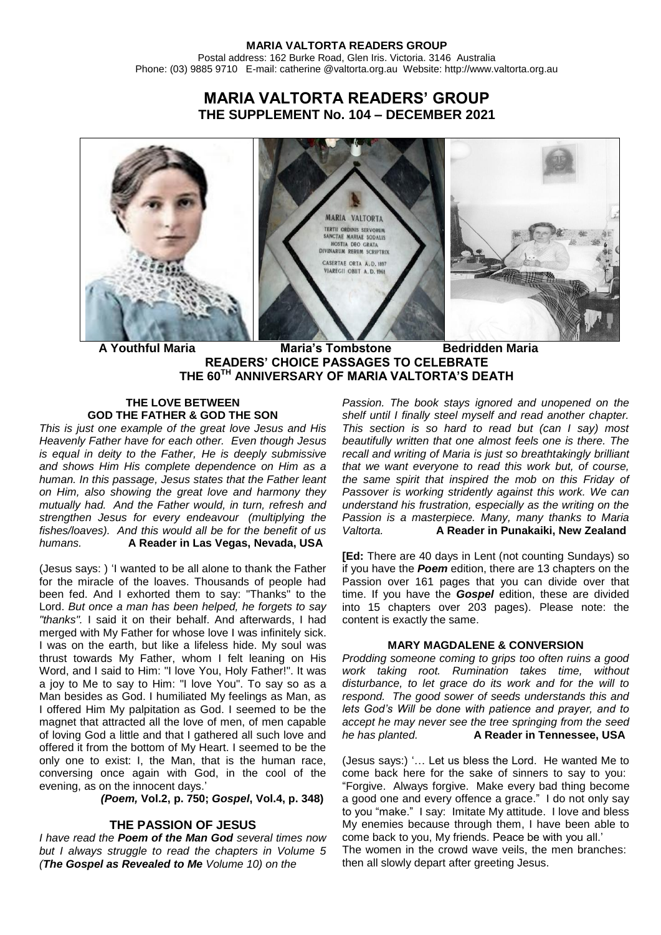#### **MARIA VALTORTA READERS GROUP** Postal address: 162 Burke Road, Glen Iris. Victoria. 3146 Australia Phone: (03) 9885 9710 E-mail: catherine @valtorta.org.au Website: http://www.valtorta.org.au

# **MARIA VALTORTA READERS' GROUP THE SUPPLEMENT No. 104 – DECEMBER 2021**



 **A Youthful Maria Maria's Tombstone Bedridden Maria READERS' CHOICE PASSAGES TO CELEBRATE THE 60TH ANNIVERSARY OF MARIA VALTORTA'S DEATH**

## **THE LOVE BETWEEN GOD THE FATHER & GOD THE SON**

*This is just one example of the great love Jesus and His Heavenly Father have for each other. Even though Jesus is equal in deity to the Father, He is deeply submissive and shows Him His complete dependence on Him as a human. In this passage, Jesus states that the Father leant on Him, also showing the great love and harmony they mutually had. And the Father would, in turn, refresh and strengthen Jesus for every endeavour (multiplying the fishes/loaves). And this would all be for the benefit of us humans.* **A Reader in Las Vegas, Nevada, USA**

(Jesus says: ) 'I wanted to be all alone to thank the Father for the miracle of the loaves. Thousands of people had been fed. And I exhorted them to say: "Thanks" to the Lord. *But once a man has been helped, he forgets to say "thanks".* I said it on their behalf. And afterwards, I had merged with My Father for whose love I was infinitely sick. I was on the earth, but like a lifeless hide. My soul was thrust towards My Father, whom I felt leaning on His Word, and I said to Him: "I love You, Holy Father!". It was a joy to Me to say to Him: "I love You". To say so as a Man besides as God. I humiliated My feelings as Man, as I offered Him My palpitation as God. I seemed to be the magnet that attracted all the love of men, of men capable of loving God a little and that I gathered all such love and offered it from the bottom of My Heart. I seemed to be the only one to exist: I, the Man, that is the human race, conversing once again with God, in the cool of the evening, as on the innocent days.'

 *(Poem,* **Vol.2, p. 750;** *Gospel***, Vol.4, p. 348)**

## **THE PASSION OF JESUS**

*I have read the Poem of the Man God several times now but I always struggle to read the chapters in Volume 5 (The Gospel as Revealed to Me Volume 10) on the* 

*Passion. The book stays ignored and unopened on the shelf until I finally steel myself and read another chapter. This section is so hard to read but (can I say) most beautifully written that one almost feels one is there. The recall and writing of Maria is just so breathtakingly brilliant that we want everyone to read this work but, of course, the same spirit that inspired the mob on this Friday of Passover is working stridently against this work. We can understand his frustration, especially as the writing on the Passion is a masterpiece. Many, many thanks to Maria Valtorta.* **A Reader in Punakaiki, New Zealand**

**[Ed:** There are 40 days in Lent (not counting Sundays) so if you have the *Poem* edition, there are 13 chapters on the Passion over 161 pages that you can divide over that time. If you have the *Gospel* edition, these are divided into 15 chapters over 203 pages). Please note: the content is exactly the same.

### **MARY MAGDALENE & CONVERSION**

*Prodding someone coming to grips too often ruins a good work taking root. Rumination takes time, without disturbance, to let grace do its work and for the will to respond. The good sower of seeds understands this and lets God's Will be done with patience and prayer, and to accept he may never see the tree springing from the seed he has planted.* **A Reader in Tennessee, USA**

(Jesus says:) '… Let us bless the Lord. He wanted Me to come back here for the sake of sinners to say to you: "Forgive. Always forgive. Make every bad thing become a good one and every offence a grace." I do not only say to you "make." I say: Imitate My attitude. I love and bless My enemies because through them, I have been able to come back to you, My friends. Peace be with you all.' The women in the crowd wave veils, the men branches: then all slowly depart after greeting Jesus.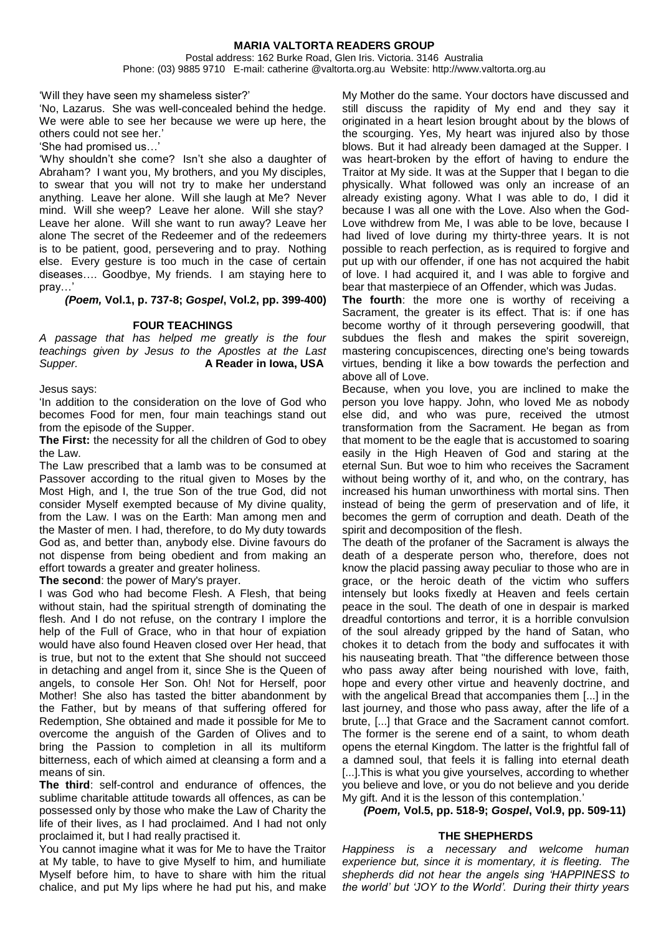### **MARIA VALTORTA READERS GROUP** Postal address: 162 Burke Road, Glen Iris. Victoria. 3146 Australia

Phone: (03) 9885 9710 E-mail: catherine @valtorta.org.au Website: http://www.valtorta.org.au

'Will they have seen my shameless sister?'

'No, Lazarus. She was well-concealed behind the hedge. We were able to see her because we were up here, the others could not see her.'

'She had promised us…'

'Why shouldn't she come? Isn't she also a daughter of Abraham? I want you, My brothers, and you My disciples, to swear that you will not try to make her understand anything. Leave her alone. Will she laugh at Me? Never mind. Will she weep? Leave her alone. Will she stay? Leave her alone. Will she want to run away? Leave her alone The secret of the Redeemer and of the redeemers is to be patient, good, persevering and to pray. Nothing else. Every gesture is too much in the case of certain diseases…. Goodbye, My friends. I am staying here to pray…'

*(Poem,* **Vol.1, p. 737-8;** *Gospel***, Vol.2, pp. 399-400)**

## **FOUR TEACHINGS**

*A passage that has helped me greatly is the four teachings given by Jesus to the Apostles at the Last Supper.* **A Reader in Iowa, USA**

Jesus says:

'In addition to the consideration on the love of God who becomes Food for men, four main teachings stand out from the episode of the Supper.

**The First:** the necessity for all the children of God to obey the Law.

The Law prescribed that a lamb was to be consumed at Passover according to the ritual given to Moses by the Most High, and I, the true Son of the true God, did not consider Myself exempted because of My divine quality, from the Law. I was on the Earth: Man among men and the Master of men. I had, therefore, to do My duty towards God as, and better than, anybody else. Divine favours do not dispense from being obedient and from making an effort towards a greater and greater holiness.

**The second**: the power of Mary's prayer.

I was God who had become Flesh. A Flesh, that being without stain, had the spiritual strength of dominating the flesh. And I do not refuse, on the contrary I implore the help of the Full of Grace, who in that hour of expiation would have also found Heaven closed over Her head, that is true, but not to the extent that She should not succeed in detaching and angel from it, since She is the Queen of angels, to console Her Son. Oh! Not for Herself, poor Mother! She also has tasted the bitter abandonment by the Father, but by means of that suffering offered for Redemption, She obtained and made it possible for Me to overcome the anguish of the Garden of Olives and to bring the Passion to completion in all its multiform bitterness, each of which aimed at cleansing a form and a means of sin.

**The third**: self-control and endurance of offences, the sublime charitable attitude towards all offences, as can be possessed only by those who make the Law of Charity the life of their lives, as I had proclaimed. And I had not only proclaimed it, but I had really practised it.

You cannot imagine what it was for Me to have the Traitor at My table, to have to give Myself to him, and humiliate Myself before him, to have to share with him the ritual chalice, and put My lips where he had put his, and make My Mother do the same. Your doctors have discussed and still discuss the rapidity of My end and they say it originated in a heart lesion brought about by the blows of the scourging. Yes, My heart was injured also by those blows. But it had already been damaged at the Supper. I was heart-broken by the effort of having to endure the Traitor at My side. It was at the Supper that I began to die physically. What followed was only an increase of an already existing agony. What I was able to do, I did it because I was all one with the Love. Also when the God-Love withdrew from Me, I was able to be love, because I had lived of love during my thirty-three years. It is not possible to reach perfection, as is required to forgive and put up with our offender, if one has not acquired the habit of love. I had acquired it, and I was able to forgive and bear that masterpiece of an Offender, which was Judas.

**The fourth**: the more one is worthy of receiving a Sacrament, the greater is its effect. That is: if one has become worthy of it through persevering goodwill, that subdues the flesh and makes the spirit sovereign, mastering concupiscences, directing one's being towards virtues, bending it like a bow towards the perfection and above all of Love.

Because, when you love, you are inclined to make the person you love happy. John, who loved Me as nobody else did, and who was pure, received the utmost transformation from the Sacrament. He began as from that moment to be the eagle that is accustomed to soaring easily in the High Heaven of God and staring at the eternal Sun. But woe to him who receives the Sacrament without being worthy of it, and who, on the contrary, has increased his human unworthiness with mortal sins. Then instead of being the germ of preservation and of life, it becomes the germ of corruption and death. Death of the spirit and decomposition of the flesh.

The death of the profaner of the Sacrament is always the death of a desperate person who, therefore, does not know the placid passing away peculiar to those who are in grace, or the heroic death of the victim who suffers intensely but looks fixedly at Heaven and feels certain peace in the soul. The death of one in despair is marked dreadful contortions and terror, it is a horrible convulsion of the soul already gripped by the hand of Satan, who chokes it to detach from the body and suffocates it with his nauseating breath. That "the difference between those who pass away after being nourished with love, faith, hope and every other virtue and heavenly doctrine, and with the angelical Bread that accompanies them [...] in the last journey, and those who pass away, after the life of a brute, [...] that Grace and the Sacrament cannot comfort. The former is the serene end of a saint, to whom death opens the eternal Kingdom. The latter is the frightful fall of a damned soul, that feels it is falling into eternal death [...]. This is what you give yourselves, according to whether you believe and love, or you do not believe and you deride My gift. And it is the lesson of this contemplation.'

*(Poem,* **Vol.5, pp. 518-9;** *Gospel***, Vol.9, pp. 509-11)**

## **THE SHEPHERDS**

*Happiness is a necessary and welcome human experience but, since it is momentary, it is fleeting. The shepherds did not hear the angels sing 'HAPPINESS to the world' but 'JOY to the World'. During their thirty years*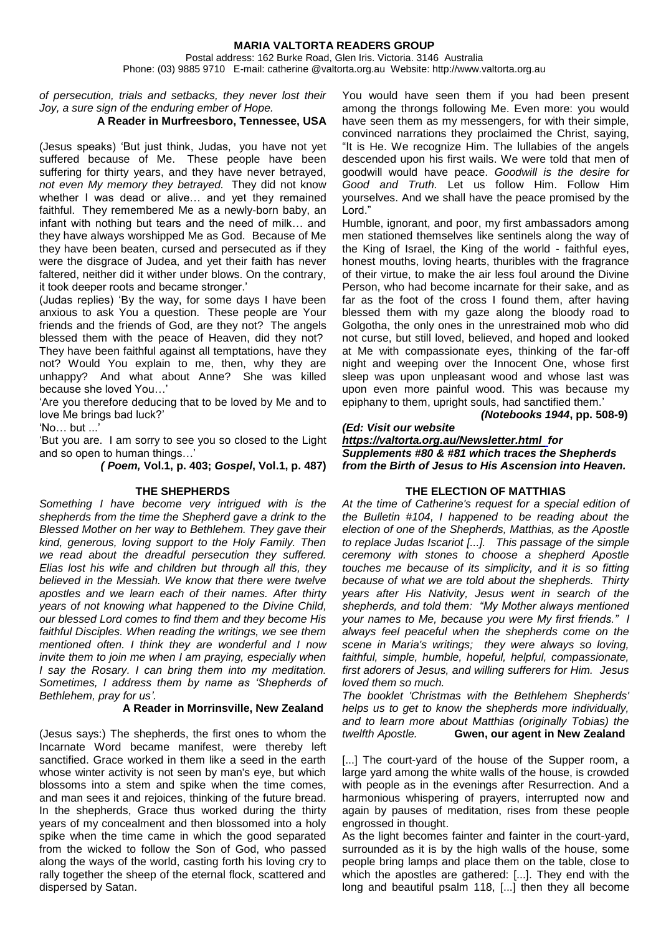#### **MARIA VALTORTA READERS GROUP** Postal address: 162 Burke Road, Glen Iris. Victoria. 3146 Australia Phone: (03) 9885 9710 E-mail: catherine @valtorta.org.au Website: http://www.valtorta.org.au

*of persecution, trials and setbacks, they never lost their Joy, a sure sign of the enduring ember of Hope.* 

### **A Reader in Murfreesboro, Tennessee, USA**

(Jesus speaks) 'But just think, Judas, you have not yet suffered because of Me. These people have been suffering for thirty years, and they have never betrayed, *not even My memory they betrayed.* They did not know whether I was dead or alive… and yet they remained faithful. They remembered Me as a newly-born baby, an infant with nothing but tears and the need of milk… and they have always worshipped Me as God. Because of Me they have been beaten, cursed and persecuted as if they were the disgrace of Judea, and yet their faith has never faltered, neither did it wither under blows. On the contrary, it took deeper roots and became stronger.'

(Judas replies) 'By the way, for some days I have been anxious to ask You a question. These people are Your friends and the friends of God, are they not? The angels blessed them with the peace of Heaven, did they not? They have been faithful against all temptations, have they not? Would You explain to me, then, why they are unhappy? And what about Anne? She was killed because she loved You…'

'Are you therefore deducing that to be loved by Me and to love Me brings bad luck?'

'No… but ...'

'But you are. I am sorry to see you so closed to the Light and so open to human things…'

*( Poem,* **Vol.1, p. 403;** *Gospel***, Vol.1, p. 487)**

### **THE SHEPHERDS**

*Something I have become very intrigued with is the shepherds from the time the Shepherd gave a drink to the Blessed Mother on her way to Bethlehem. They gave their kind, generous, loving support to the Holy Family. Then we read about the dreadful persecution they suffered. Elias lost his wife and children but through all this, they believed in the Messiah. We know that there were twelve apostles and we learn each of their names. After thirty years of not knowing what happened to the Divine Child, our blessed Lord comes to find them and they become His faithful Disciples. When reading the writings, we see them mentioned often. I think they are wonderful and I now invite them to join me when I am praying, especially when I say the Rosary. I can bring them into my meditation. Sometimes, I address them by name as 'Shepherds of Bethlehem, pray for us'.*

#### **A Reader in Morrinsville, New Zealand**

(Jesus says:) The shepherds, the first ones to whom the Incarnate Word became manifest, were thereby left sanctified. Grace worked in them like a seed in the earth whose winter activity is not seen by man's eye, but which blossoms into a stem and spike when the time comes, and man sees it and rejoices, thinking of the future bread. In the shepherds, Grace thus worked during the thirty years of my concealment and then blossomed into a holy spike when the time came in which the good separated from the wicked to follow the Son of God, who passed along the ways of the world, casting forth his loving cry to rally together the sheep of the eternal flock, scattered and dispersed by Satan.

You would have seen them if you had been present among the throngs following Me. Even more: you would have seen them as my messengers, for with their simple, convinced narrations they proclaimed the Christ, saying, "It is He. We recognize Him. The lullabies of the angels descended upon his first wails. We were told that men of goodwill would have peace. *Goodwill is the desire for Good and Truth.* Let us follow Him. Follow Him yourselves. And we shall have the peace promised by the Lord."

Humble, ignorant, and poor, my first ambassadors among men stationed themselves like sentinels along the way of the King of Israel, the King of the world - faithful eyes, honest mouths, loving hearts, thuribles with the fragrance of their virtue, to make the air less foul around the Divine Person, who had become incarnate for their sake, and as far as the foot of the cross I found them, after having blessed them with my gaze along the bloody road to Golgotha, the only ones in the unrestrained mob who did not curse, but still loved, believed, and hoped and looked at Me with compassionate eyes, thinking of the far-off night and weeping over the Innocent One, whose first sleep was upon unpleasant wood and whose last was upon even more painful wood. This was because my epiphany to them, upright souls, had sanctified them.'

 *(Notebooks 1944***, pp. 508-9)**

#### *(Ed: Visit our website*

*[https://valtorta.org.au/Newsletter.html f](https://valtorta.org.au/Newsletter.html)or Supplements #80 & #81 which traces the Shepherds from the Birth of Jesus to His Ascension into Heaven.*

## **THE ELECTION OF MATTHIAS**

*At the time of Catherine's request for a special edition of the Bulletin #104, I happened to be reading about the election of one of the Shepherds, Matthias, as the Apostle to replace Judas Iscariot [...]. This passage of the simple ceremony with stones to choose a shepherd Apostle touches me because of its simplicity, and it is so fitting because of what we are told about the shepherds. Thirty years after His Nativity, Jesus went in search of the shepherds, and told them: "My Mother always mentioned your names to Me, because you were My first friends." I always feel peaceful when the shepherds come on the scene in Maria's writings; they were always so loving, faithful, simple, humble, hopeful, helpful, compassionate, first adorers of Jesus, and willing sufferers for Him. Jesus loved them so much.* 

*The booklet 'Christmas with the Bethlehem Shepherds' helps us to get to know the shepherds more individually, and to learn more about Matthias (originally Tobias) the twelfth Apostle.* **Gwen, our agent in New Zealand**

[...] The court-yard of the house of the Supper room, a large yard among the white walls of the house, is crowded with people as in the evenings after Resurrection. And a harmonious whispering of prayers, interrupted now and again by pauses of meditation, rises from these people engrossed in thought.

As the light becomes fainter and fainter in the court-yard, surrounded as it is by the high walls of the house, some people bring lamps and place them on the table, close to which the apostles are gathered: [...]. They end with the long and beautiful psalm 118, [...] then they all become